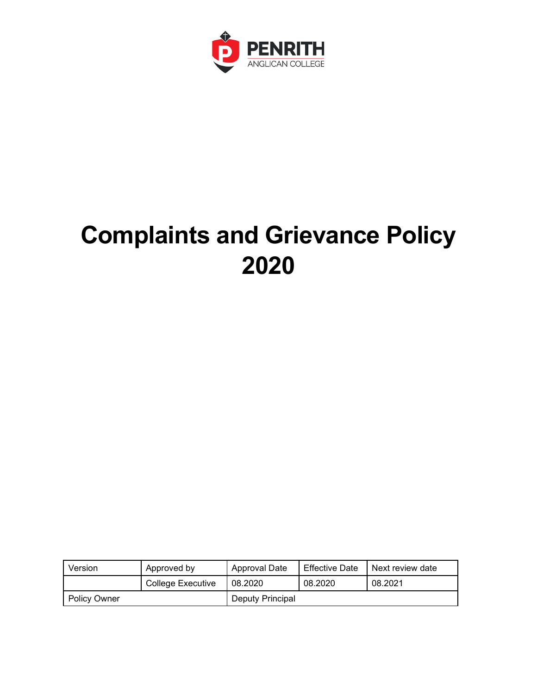

# **Complaints and Grievance Policy 2020**

| Version             | Approved by       | Approval Date           | Effective Date | Next review date |  |
|---------------------|-------------------|-------------------------|----------------|------------------|--|
|                     | College Executive | 08.2020                 | 08.2020        | 08.2021          |  |
| <b>Policy Owner</b> |                   | <b>Deputy Principal</b> |                |                  |  |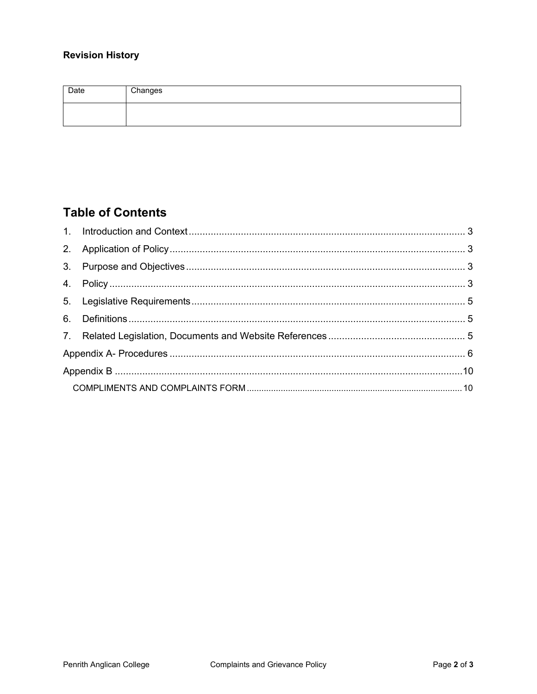#### **Revision History**

| Date | Changes |
|------|---------|
|      |         |

# **Table of Contents**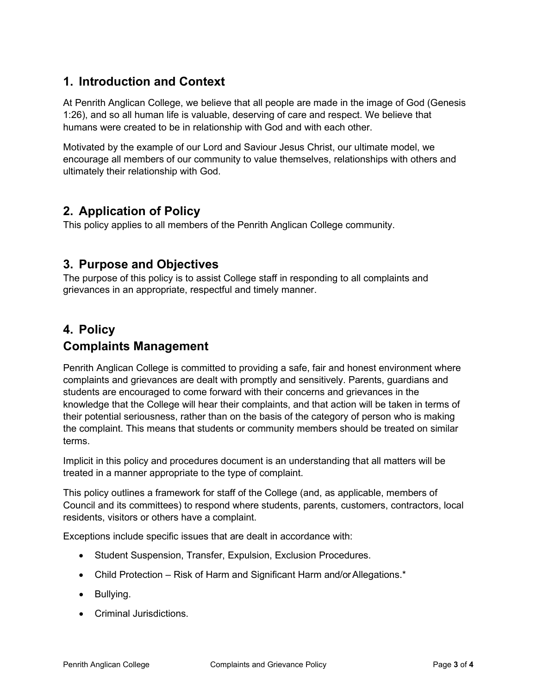#### <span id="page-2-0"></span>**1. Introduction and Context**

At Penrith Anglican College, we believe that all people are made in the image of God (Genesis 1:26), and so all human life is valuable, deserving of care and respect. We believe that humans were created to be in relationship with God and with each other.

Motivated by the example of our Lord and Saviour Jesus Christ, our ultimate model, we encourage all members of our community to value themselves, relationships with others and ultimately their relationship with God.

#### <span id="page-2-1"></span>**2. Application of Policy**

This policy applies to all members of the Penrith Anglican College community.

#### <span id="page-2-2"></span>**3. Purpose and Objectives**

The purpose of this policy is to assist College staff in responding to all complaints and grievances in an appropriate, respectful and timely manner.

# <span id="page-2-3"></span>**4. Policy**

#### **Complaints Management**

Penrith Anglican College is committed to providing a safe, fair and honest environment where complaints and grievances are dealt with promptly and sensitively. Parents, guardians and students are encouraged to come forward with their concerns and grievances in the knowledge that the College will hear their complaints, and that action will be taken in terms of their potential seriousness, rather than on the basis of the category of person who is making the complaint. This means that students or community members should be treated on similar terms.

Implicit in this policy and procedures document is an understanding that all matters will be treated in a manner appropriate to the type of complaint.

This policy outlines a framework for staff of the College (and, as applicable, members of Council and its committees) to respond where students, parents, customers, contractors, local residents, visitors or others have a complaint.

Exceptions include specific issues that are dealt in accordance with:

- Student Suspension, Transfer, Expulsion, Exclusion Procedures.
- Child Protection Risk of Harm and Significant Harm and/or Allegations.\*
- Bullying.
- Criminal Jurisdictions.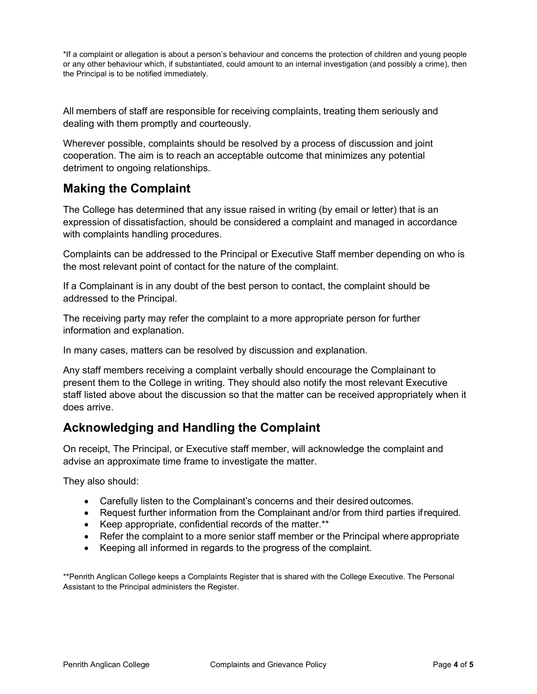\*If a complaint or allegation is about a person's behaviour and concerns the protection of children and young people or any other behaviour which, if substantiated, could amount to an internal investigation (and possibly a crime), then the Principal is to be notified immediately.

All members of staff are responsible for receiving complaints, treating them seriously and dealing with them promptly and courteously.

Wherever possible, complaints should be resolved by a process of discussion and joint cooperation. The aim is to reach an acceptable outcome that minimizes any potential detriment to ongoing relationships.

#### **Making the Complaint**

The College has determined that any issue raised in writing (by email or letter) that is an expression of dissatisfaction, should be considered a complaint and managed in accordance with complaints handling procedures.

Complaints can be addressed to the Principal or Executive Staff member depending on who is the most relevant point of contact for the nature of the complaint.

If a Complainant is in any doubt of the best person to contact, the complaint should be addressed to the Principal.

The receiving party may refer the complaint to a more appropriate person for further information and explanation.

In many cases, matters can be resolved by discussion and explanation.

Any staff members receiving a complaint verbally should encourage the Complainant to present them to the College in writing. They should also notify the most relevant Executive staff listed above about the discussion so that the matter can be received appropriately when it does arrive.

# **Acknowledging and Handling the Complaint**

On receipt, The Principal, or Executive staff member, will acknowledge the complaint and advise an approximate time frame to investigate the matter.

They also should:

- Carefully listen to the Complainant's concerns and their desired outcomes.
- Request further information from the Complainant and/or from third parties ifrequired.
- Keep appropriate, confidential records of the matter.\*\*
- Refer the complaint to a more senior staff member or the Principal where appropriate
- Keeping all informed in regards to the progress of the complaint.

\*\*Penrith Anglican College keeps a Complaints Register that is shared with the College Executive. The Personal Assistant to the Principal administers the Register.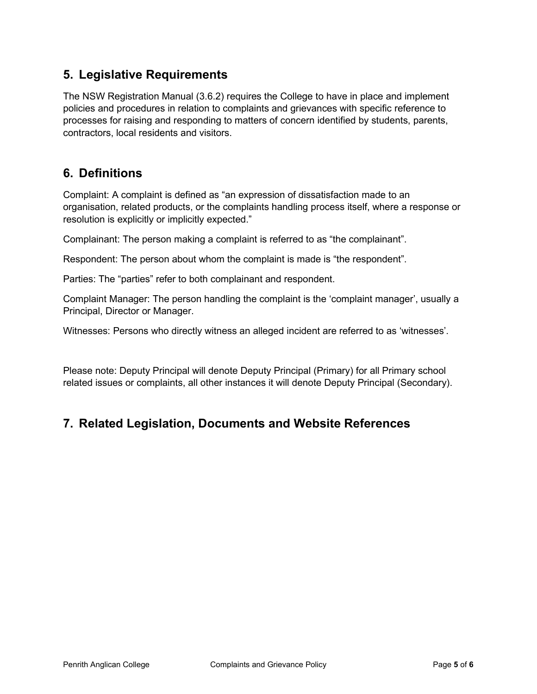#### <span id="page-4-0"></span>**5. Legislative Requirements**

The NSW Registration Manual (3.6.2) requires the College to have in place and implement policies and procedures in relation to complaints and grievances with specific reference to processes for raising and responding to matters of concern identified by students, parents, contractors, local residents and visitors.

#### <span id="page-4-1"></span>**6. Definitions**

Complaint: A complaint is defined as "an expression of dissatisfaction made to an organisation, related products, or the complaints handling process itself, where a response or resolution is explicitly or implicitly expected."

Complainant: The person making a complaint is referred to as "the complainant".

Respondent: The person about whom the complaint is made is "the respondent".

Parties: The "parties" refer to both complainant and respondent.

Complaint Manager: The person handling the complaint is the 'complaint manager', usually a Principal, Director or Manager.

Witnesses: Persons who directly witness an alleged incident are referred to as 'witnesses'.

Please note: Deputy Principal will denote Deputy Principal (Primary) for all Primary school related issues or complaints, all other instances it will denote Deputy Principal (Secondary).

# <span id="page-4-2"></span>**7. Related Legislation, Documents and Website References**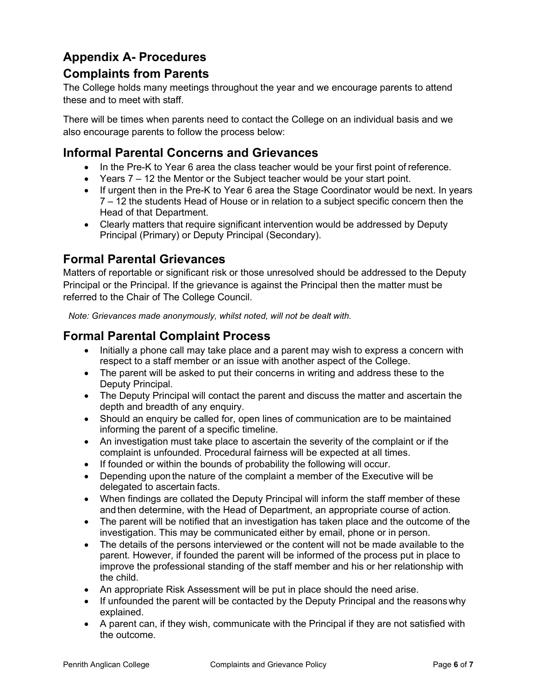# <span id="page-5-0"></span>**Appendix A- Procedures**

#### **Complaints from Parents**

The College holds many meetings throughout the year and we encourage parents to attend these and to meet with staff.

There will be times when parents need to contact the College on an individual basis and we also encourage parents to follow the process below:

#### **Informal Parental Concerns and Grievances**

- In the Pre-K to Year 6 area the class teacher would be your first point of reference.
- Years 7 12 the Mentor or the Subject teacher would be your start point.
- If urgent then in the Pre-K to Year 6 area the Stage Coordinator would be next. In years 7 – 12 the students Head of House or in relation to a subject specific concern then the Head of that Department.
- Clearly matters that require significant intervention would be addressed by Deputy Principal (Primary) or Deputy Principal (Secondary).

#### **Formal Parental Grievances**

Matters of reportable or significant risk or those unresolved should be addressed to the Deputy Principal or the Principal. If the grievance is against the Principal then the matter must be referred to the Chair of The College Council.

*Note: Grievances made anonymously, whilst noted, will not be dealt with.*

#### **Formal Parental Complaint Process**

- Initially a phone call may take place and a parent may wish to express a concern with respect to a staff member or an issue with another aspect of the College.
- The parent will be asked to put their concerns in writing and address these to the Deputy Principal.
- The Deputy Principal will contact the parent and discuss the matter and ascertain the depth and breadth of any enquiry.
- Should an enquiry be called for, open lines of communication are to be maintained informing the parent of a specific timeline.
- An investigation must take place to ascertain the severity of the complaint or if the complaint is unfounded. Procedural fairness will be expected at all times.
- If founded or within the bounds of probability the following will occur.
- Depending upon the nature of the complaint a member of the Executive will be delegated to ascertain facts.
- When findings are collated the Deputy Principal will inform the staff member of these and then determine, with the Head of Department, an appropriate course of action.
- The parent will be notified that an investigation has taken place and the outcome of the investigation. This may be communicated either by email, phone or in person.
- The details of the persons interviewed or the content will not be made available to the parent. However, if founded the parent will be informed of the process put in place to improve the professional standing of the staff member and his or her relationship with the child.
- An appropriate Risk Assessment will be put in place should the need arise.
- If unfounded the parent will be contacted by the Deputy Principal and the reasons why explained.
- A parent can, if they wish, communicate with the Principal if they are not satisfied with the outcome.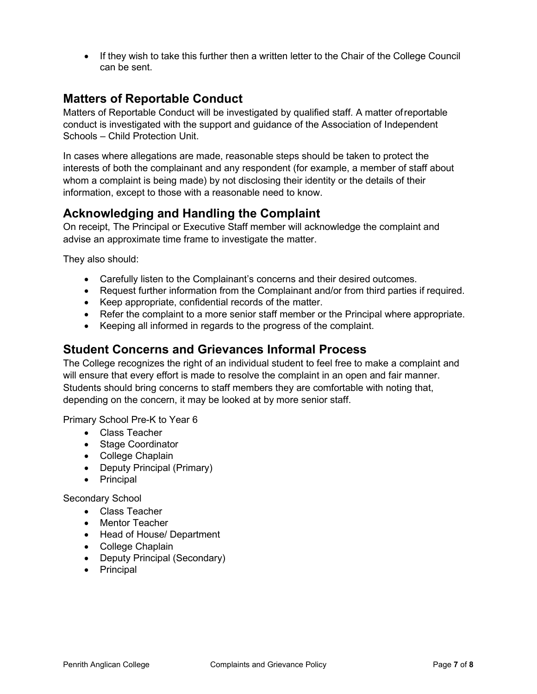• If they wish to take this further then a written letter to the Chair of the College Council can be sent.

#### **Matters of Reportable Conduct**

Matters of Reportable Conduct will be investigated by qualified staff. A matter ofreportable conduct is investigated with the support and guidance of the Association of Independent Schools – Child Protection Unit.

In cases where allegations are made, reasonable steps should be taken to protect the interests of both the complainant and any respondent (for example, a member of staff about whom a complaint is being made) by not disclosing their identity or the details of their information, except to those with a reasonable need to know.

# **Acknowledging and Handling the Complaint**

On receipt, The Principal or Executive Staff member will acknowledge the complaint and advise an approximate time frame to investigate the matter.

They also should:

- Carefully listen to the Complainant's concerns and their desired outcomes.
- Request further information from the Complainant and/or from third parties if required.
- Keep appropriate, confidential records of the matter.
- Refer the complaint to a more senior staff member or the Principal where appropriate.
- Keeping all informed in regards to the progress of the complaint.

#### **Student Concerns and Grievances Informal Process**

The College recognizes the right of an individual student to feel free to make a complaint and will ensure that every effort is made to resolve the complaint in an open and fair manner. Students should bring concerns to staff members they are comfortable with noting that, depending on the concern, it may be looked at by more senior staff.

Primary School Pre-K to Year 6

- Class Teacher
- Stage Coordinator
- College Chaplain
- Deputy Principal (Primary)
- Principal

Secondary School

- Class Teacher
- Mentor Teacher
- Head of House/ Department
- College Chaplain
- Deputy Principal (Secondary)
- Principal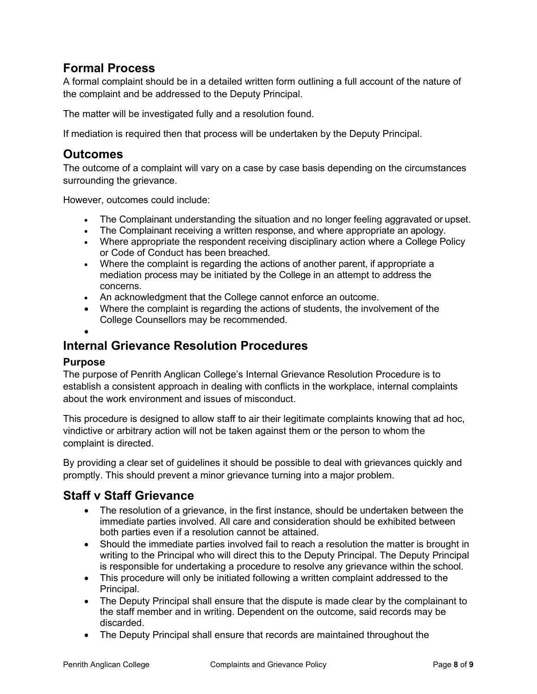# **Formal Process**

A formal complaint should be in a detailed written form outlining a full account of the nature of the complaint and be addressed to the Deputy Principal.

The matter will be investigated fully and a resolution found.

If mediation is required then that process will be undertaken by the Deputy Principal.

#### **Outcomes**

The outcome of a complaint will vary on a case by case basis depending on the circumstances surrounding the grievance.

However, outcomes could include:

- The Complainant understanding the situation and no longer feeling aggravated or upset.
- The Complainant receiving a written response, and where appropriate an apology.
- Where appropriate the respondent receiving disciplinary action where a College Policy or Code of Conduct has been breached.
- Where the complaint is regarding the actions of another parent, if appropriate a mediation process may be initiated by the College in an attempt to address the concerns.
- An acknowledgment that the College cannot enforce an outcome.
- Where the complaint is regarding the actions of students, the involvement of the College Counsellors may be recommended.
- •

#### **Internal Grievance Resolution Procedures**

#### **Purpose**

The purpose of Penrith Anglican College's Internal Grievance Resolution Procedure is to establish a consistent approach in dealing with conflicts in the workplace, internal complaints about the work environment and issues of misconduct.

This procedure is designed to allow staff to air their legitimate complaints knowing that ad hoc, vindictive or arbitrary action will not be taken against them or the person to whom the complaint is directed.

By providing a clear set of guidelines it should be possible to deal with grievances quickly and promptly. This should prevent a minor grievance turning into a major problem.

#### **Staff v Staff Grievance**

- The resolution of a grievance, in the first instance, should be undertaken between the immediate parties involved. All care and consideration should be exhibited between both parties even if a resolution cannot be attained.
- Should the immediate parties involved fail to reach a resolution the matter is brought in writing to the Principal who will direct this to the Deputy Principal. The Deputy Principal is responsible for undertaking a procedure to resolve any grievance within the school.
- This procedure will only be initiated following a written complaint addressed to the Principal.
- The Deputy Principal shall ensure that the dispute is made clear by the complainant to the staff member and in writing. Dependent on the outcome, said records may be discarded.
- The Deputy Principal shall ensure that records are maintained throughout the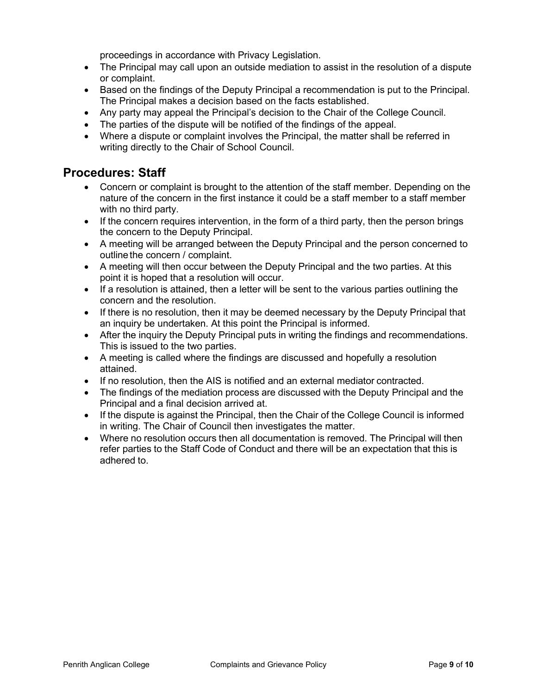proceedings in accordance with Privacy Legislation.

- The Principal may call upon an outside mediation to assist in the resolution of a dispute or complaint.
- Based on the findings of the Deputy Principal a recommendation is put to the Principal. The Principal makes a decision based on the facts established.
- Any party may appeal the Principal's decision to the Chair of the College Council.
- The parties of the dispute will be notified of the findings of the appeal.
- Where a dispute or complaint involves the Principal, the matter shall be referred in writing directly to the Chair of School Council.

#### **Procedures: Staff**

- Concern or complaint is brought to the attention of the staff member. Depending on the nature of the concern in the first instance it could be a staff member to a staff member with no third party.
- If the concern requires intervention, in the form of a third party, then the person brings the concern to the Deputy Principal.
- A meeting will be arranged between the Deputy Principal and the person concerned to outline the concern / complaint.
- A meeting will then occur between the Deputy Principal and the two parties. At this point it is hoped that a resolution will occur.
- If a resolution is attained, then a letter will be sent to the various parties outlining the concern and the resolution.
- If there is no resolution, then it may be deemed necessary by the Deputy Principal that an inquiry be undertaken. At this point the Principal is informed.
- After the inquiry the Deputy Principal puts in writing the findings and recommendations. This is issued to the two parties.
- A meeting is called where the findings are discussed and hopefully a resolution attained.
- If no resolution, then the AIS is notified and an external mediator contracted.
- The findings of the mediation process are discussed with the Deputy Principal and the Principal and a final decision arrived at.
- If the dispute is against the Principal, then the Chair of the College Council is informed in writing. The Chair of Council then investigates the matter.
- Where no resolution occurs then all documentation is removed. The Principal will then refer parties to the Staff Code of Conduct and there will be an expectation that this is adhered to.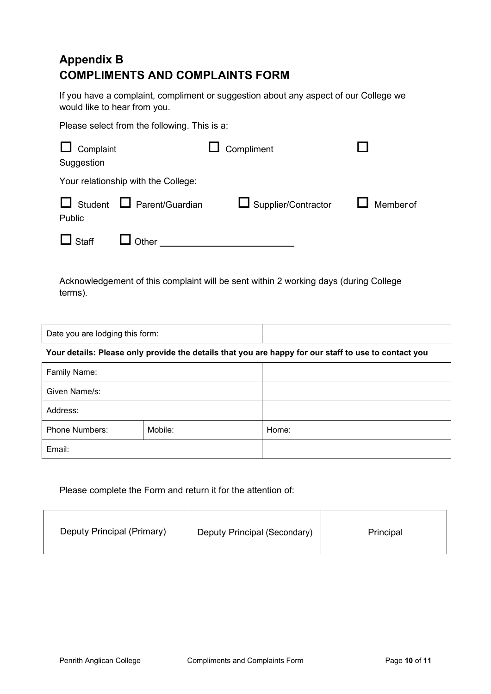# <span id="page-9-1"></span><span id="page-9-0"></span>**Appendix B COMPLIMENTS AND COMPLAINTS FORM**

If you have a complaint, compliment or suggestion about any aspect of our College we would like to hear from you.

Please select from the following. This is a:

| $\Box$<br>Complaint<br>Suggestion |                                     | Compliment                   |          |
|-----------------------------------|-------------------------------------|------------------------------|----------|
|                                   | Your relationship with the College: |                              |          |
| $\Box$<br>Student<br>Public       | $\Box$ Parent/Guardian              | <b>□</b> Supplier/Contractor | Memberof |
| $\Box$ Staff                      | Other                               |                              |          |

Acknowledgement of this complaint will be sent within 2 working days (during College terms).

#### **Your details: Please only provide the details that you are happy for our staff to use to contact you**

| Family Name:   |         |       |
|----------------|---------|-------|
| Given Name/s:  |         |       |
| Address:       |         |       |
| Phone Numbers: | Mobile: | Home: |
| Email:         |         |       |

#### Please complete the Form and return it for the attention of:

| Deputy Principal (Primary) | Deputy Principal (Secondary) | Principal |
|----------------------------|------------------------------|-----------|
|----------------------------|------------------------------|-----------|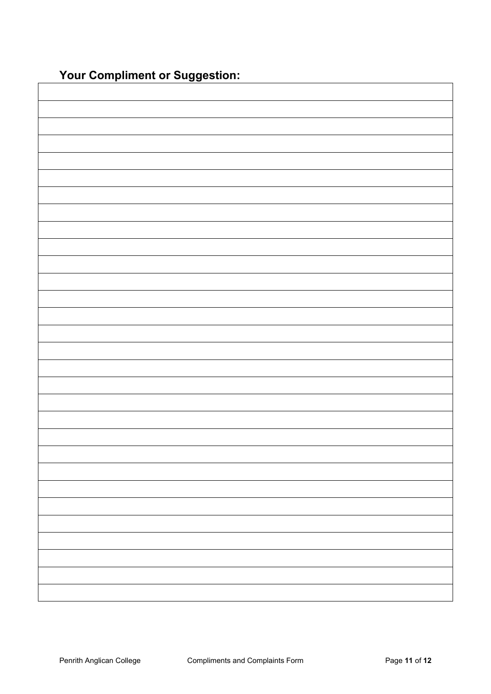**Your Compliment or Suggestion:**